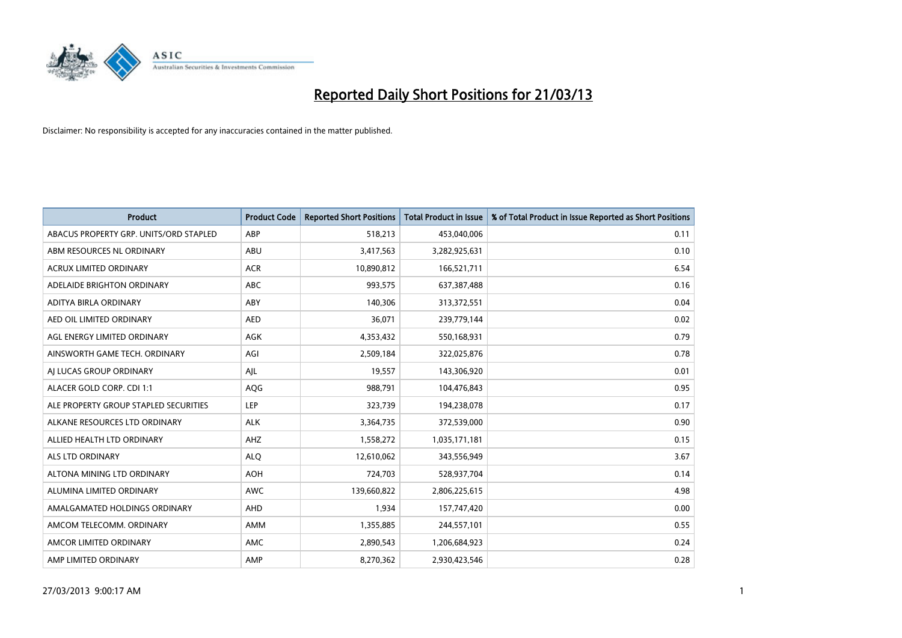

| <b>Product</b>                         | <b>Product Code</b> | <b>Reported Short Positions</b> | <b>Total Product in Issue</b> | % of Total Product in Issue Reported as Short Positions |
|----------------------------------------|---------------------|---------------------------------|-------------------------------|---------------------------------------------------------|
| ABACUS PROPERTY GRP. UNITS/ORD STAPLED | ABP                 | 518,213                         | 453,040,006                   | 0.11                                                    |
| ABM RESOURCES NL ORDINARY              | ABU                 | 3,417,563                       | 3,282,925,631                 | 0.10                                                    |
| <b>ACRUX LIMITED ORDINARY</b>          | <b>ACR</b>          | 10,890,812                      | 166,521,711                   | 6.54                                                    |
| ADELAIDE BRIGHTON ORDINARY             | <b>ABC</b>          | 993,575                         | 637, 387, 488                 | 0.16                                                    |
| ADITYA BIRLA ORDINARY                  | ABY                 | 140,306                         | 313,372,551                   | 0.04                                                    |
| AED OIL LIMITED ORDINARY               | <b>AED</b>          | 36,071                          | 239,779,144                   | 0.02                                                    |
| AGL ENERGY LIMITED ORDINARY            | AGK                 | 4,353,432                       | 550,168,931                   | 0.79                                                    |
| AINSWORTH GAME TECH. ORDINARY          | AGI                 | 2,509,184                       | 322,025,876                   | 0.78                                                    |
| AI LUCAS GROUP ORDINARY                | AJL                 | 19,557                          | 143,306,920                   | 0.01                                                    |
| ALACER GOLD CORP. CDI 1:1              | AQG                 | 988,791                         | 104,476,843                   | 0.95                                                    |
| ALE PROPERTY GROUP STAPLED SECURITIES  | <b>LEP</b>          | 323,739                         | 194,238,078                   | 0.17                                                    |
| ALKANE RESOURCES LTD ORDINARY          | <b>ALK</b>          | 3,364,735                       | 372,539,000                   | 0.90                                                    |
| ALLIED HEALTH LTD ORDINARY             | AHZ                 | 1,558,272                       | 1,035,171,181                 | 0.15                                                    |
| ALS LTD ORDINARY                       | <b>ALQ</b>          | 12,610,062                      | 343,556,949                   | 3.67                                                    |
| ALTONA MINING LTD ORDINARY             | <b>AOH</b>          | 724,703                         | 528,937,704                   | 0.14                                                    |
| ALUMINA LIMITED ORDINARY               | <b>AWC</b>          | 139,660,822                     | 2,806,225,615                 | 4.98                                                    |
| AMALGAMATED HOLDINGS ORDINARY          | AHD                 | 1,934                           | 157,747,420                   | 0.00                                                    |
| AMCOM TELECOMM, ORDINARY               | AMM                 | 1,355,885                       | 244,557,101                   | 0.55                                                    |
| AMCOR LIMITED ORDINARY                 | AMC                 | 2,890,543                       | 1,206,684,923                 | 0.24                                                    |
| AMP LIMITED ORDINARY                   | AMP                 | 8,270,362                       | 2,930,423,546                 | 0.28                                                    |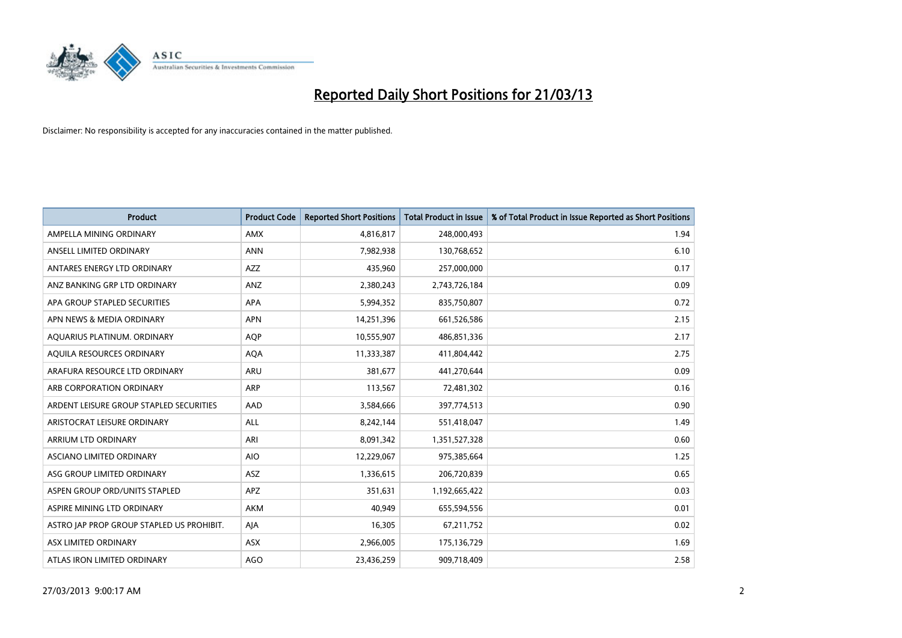

| <b>Product</b>                            | <b>Product Code</b> | <b>Reported Short Positions</b> | <b>Total Product in Issue</b> | % of Total Product in Issue Reported as Short Positions |
|-------------------------------------------|---------------------|---------------------------------|-------------------------------|---------------------------------------------------------|
| AMPELLA MINING ORDINARY                   | <b>AMX</b>          | 4,816,817                       | 248,000,493                   | 1.94                                                    |
| ANSELL LIMITED ORDINARY                   | <b>ANN</b>          | 7,982,938                       | 130,768,652                   | 6.10                                                    |
| ANTARES ENERGY LTD ORDINARY               | <b>AZZ</b>          | 435,960                         | 257,000,000                   | 0.17                                                    |
| ANZ BANKING GRP LTD ORDINARY              | ANZ                 | 2,380,243                       | 2,743,726,184                 | 0.09                                                    |
| APA GROUP STAPLED SECURITIES              | APA                 | 5,994,352                       | 835,750,807                   | 0.72                                                    |
| APN NEWS & MEDIA ORDINARY                 | <b>APN</b>          | 14,251,396                      | 661,526,586                   | 2.15                                                    |
| AQUARIUS PLATINUM. ORDINARY               | <b>AOP</b>          | 10,555,907                      | 486,851,336                   | 2.17                                                    |
| AQUILA RESOURCES ORDINARY                 | <b>AQA</b>          | 11,333,387                      | 411,804,442                   | 2.75                                                    |
| ARAFURA RESOURCE LTD ORDINARY             | <b>ARU</b>          | 381,677                         | 441,270,644                   | 0.09                                                    |
| ARB CORPORATION ORDINARY                  | <b>ARP</b>          | 113,567                         | 72,481,302                    | 0.16                                                    |
| ARDENT LEISURE GROUP STAPLED SECURITIES   | AAD                 | 3,584,666                       | 397,774,513                   | 0.90                                                    |
| ARISTOCRAT LEISURE ORDINARY               | ALL                 | 8,242,144                       | 551,418,047                   | 1.49                                                    |
| ARRIUM LTD ORDINARY                       | ARI                 | 8,091,342                       | 1,351,527,328                 | 0.60                                                    |
| ASCIANO LIMITED ORDINARY                  | <b>AIO</b>          | 12,229,067                      | 975,385,664                   | 1.25                                                    |
| ASG GROUP LIMITED ORDINARY                | <b>ASZ</b>          | 1,336,615                       | 206,720,839                   | 0.65                                                    |
| ASPEN GROUP ORD/UNITS STAPLED             | <b>APZ</b>          | 351,631                         | 1,192,665,422                 | 0.03                                                    |
| ASPIRE MINING LTD ORDINARY                | AKM                 | 40,949                          | 655,594,556                   | 0.01                                                    |
| ASTRO JAP PROP GROUP STAPLED US PROHIBIT. | AJA                 | 16,305                          | 67,211,752                    | 0.02                                                    |
| ASX LIMITED ORDINARY                      | ASX                 | 2,966,005                       | 175,136,729                   | 1.69                                                    |
| ATLAS IRON LIMITED ORDINARY               | <b>AGO</b>          | 23,436,259                      | 909,718,409                   | 2.58                                                    |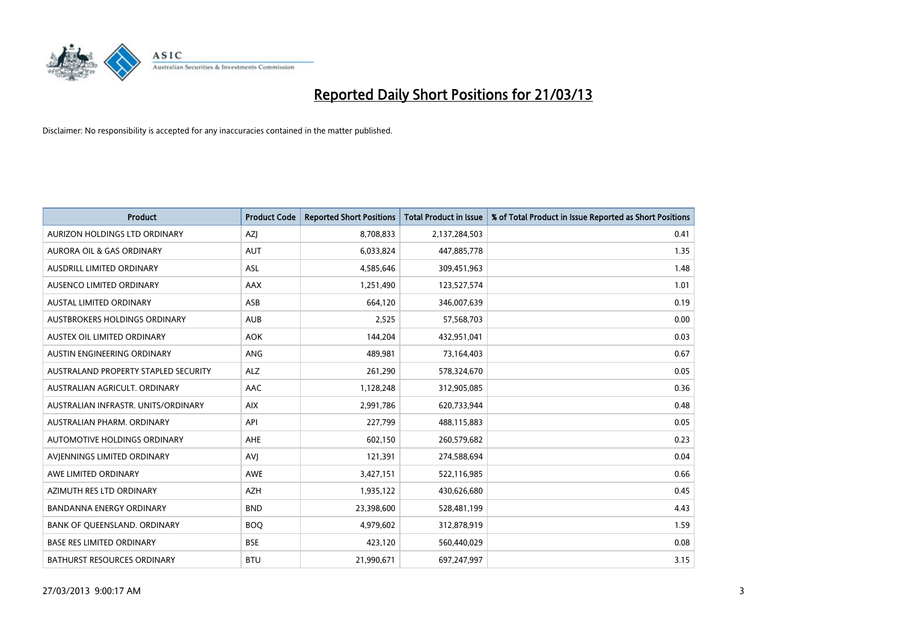

| <b>Product</b>                       | <b>Product Code</b> | <b>Reported Short Positions</b> | <b>Total Product in Issue</b> | % of Total Product in Issue Reported as Short Positions |
|--------------------------------------|---------------------|---------------------------------|-------------------------------|---------------------------------------------------------|
| AURIZON HOLDINGS LTD ORDINARY        | AZJ                 | 8,708,833                       | 2,137,284,503                 | 0.41                                                    |
| AURORA OIL & GAS ORDINARY            | <b>AUT</b>          | 6,033,824                       | 447,885,778                   | 1.35                                                    |
| AUSDRILL LIMITED ORDINARY            | ASL                 | 4,585,646                       | 309,451,963                   | 1.48                                                    |
| AUSENCO LIMITED ORDINARY             | AAX                 | 1,251,490                       | 123,527,574                   | 1.01                                                    |
| <b>AUSTAL LIMITED ORDINARY</b>       | ASB                 | 664,120                         | 346,007,639                   | 0.19                                                    |
| AUSTBROKERS HOLDINGS ORDINARY        | <b>AUB</b>          | 2,525                           | 57,568,703                    | 0.00                                                    |
| AUSTEX OIL LIMITED ORDINARY          | <b>AOK</b>          | 144,204                         | 432,951,041                   | 0.03                                                    |
| AUSTIN ENGINEERING ORDINARY          | <b>ANG</b>          | 489,981                         | 73,164,403                    | 0.67                                                    |
| AUSTRALAND PROPERTY STAPLED SECURITY | <b>ALZ</b>          | 261,290                         | 578,324,670                   | 0.05                                                    |
| AUSTRALIAN AGRICULT, ORDINARY        | AAC                 | 1,128,248                       | 312,905,085                   | 0.36                                                    |
| AUSTRALIAN INFRASTR. UNITS/ORDINARY  | <b>AIX</b>          | 2,991,786                       | 620,733,944                   | 0.48                                                    |
| AUSTRALIAN PHARM, ORDINARY           | API                 | 227,799                         | 488,115,883                   | 0.05                                                    |
| AUTOMOTIVE HOLDINGS ORDINARY         | AHE                 | 602,150                         | 260,579,682                   | 0.23                                                    |
| AVIENNINGS LIMITED ORDINARY          | <b>AVJ</b>          | 121,391                         | 274,588,694                   | 0.04                                                    |
| AWE LIMITED ORDINARY                 | <b>AWE</b>          | 3,427,151                       | 522,116,985                   | 0.66                                                    |
| AZIMUTH RES LTD ORDINARY             | <b>AZH</b>          | 1,935,122                       | 430,626,680                   | 0.45                                                    |
| <b>BANDANNA ENERGY ORDINARY</b>      | <b>BND</b>          | 23,398,600                      | 528,481,199                   | 4.43                                                    |
| BANK OF QUEENSLAND. ORDINARY         | <b>BOO</b>          | 4,979,602                       | 312,878,919                   | 1.59                                                    |
| <b>BASE RES LIMITED ORDINARY</b>     | <b>BSE</b>          | 423,120                         | 560,440,029                   | 0.08                                                    |
| <b>BATHURST RESOURCES ORDINARY</b>   | <b>BTU</b>          | 21,990,671                      | 697,247,997                   | 3.15                                                    |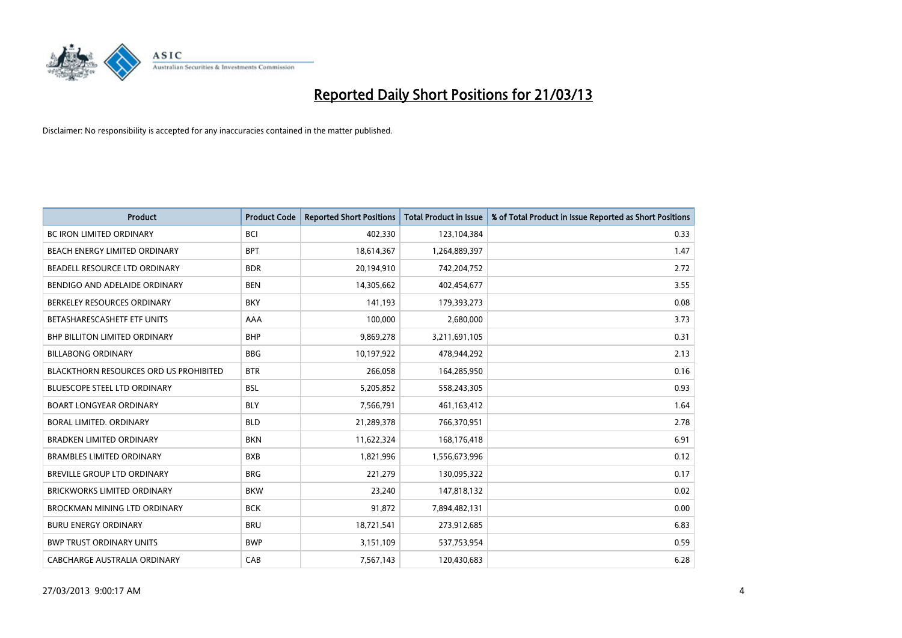

| <b>Product</b>                                | <b>Product Code</b> | <b>Reported Short Positions</b> | <b>Total Product in Issue</b> | % of Total Product in Issue Reported as Short Positions |
|-----------------------------------------------|---------------------|---------------------------------|-------------------------------|---------------------------------------------------------|
| <b>BC IRON LIMITED ORDINARY</b>               | <b>BCI</b>          | 402,330                         | 123,104,384                   | 0.33                                                    |
| BEACH ENERGY LIMITED ORDINARY                 | <b>BPT</b>          | 18,614,367                      | 1,264,889,397                 | 1.47                                                    |
| BEADELL RESOURCE LTD ORDINARY                 | <b>BDR</b>          | 20,194,910                      | 742,204,752                   | 2.72                                                    |
| BENDIGO AND ADELAIDE ORDINARY                 | <b>BEN</b>          | 14,305,662                      | 402,454,677                   | 3.55                                                    |
| BERKELEY RESOURCES ORDINARY                   | <b>BKY</b>          | 141,193                         | 179,393,273                   | 0.08                                                    |
| BETASHARESCASHETF ETF UNITS                   | AAA                 | 100,000                         | 2,680,000                     | 3.73                                                    |
| <b>BHP BILLITON LIMITED ORDINARY</b>          | <b>BHP</b>          | 9,869,278                       | 3,211,691,105                 | 0.31                                                    |
| <b>BILLABONG ORDINARY</b>                     | <b>BBG</b>          | 10,197,922                      | 478,944,292                   | 2.13                                                    |
| <b>BLACKTHORN RESOURCES ORD US PROHIBITED</b> | <b>BTR</b>          | 266,058                         | 164,285,950                   | 0.16                                                    |
| <b>BLUESCOPE STEEL LTD ORDINARY</b>           | <b>BSL</b>          | 5,205,852                       | 558,243,305                   | 0.93                                                    |
| <b>BOART LONGYEAR ORDINARY</b>                | <b>BLY</b>          | 7,566,791                       | 461,163,412                   | 1.64                                                    |
| <b>BORAL LIMITED, ORDINARY</b>                | <b>BLD</b>          | 21,289,378                      | 766,370,951                   | 2.78                                                    |
| <b>BRADKEN LIMITED ORDINARY</b>               | <b>BKN</b>          | 11,622,324                      | 168,176,418                   | 6.91                                                    |
| <b>BRAMBLES LIMITED ORDINARY</b>              | <b>BXB</b>          | 1,821,996                       | 1,556,673,996                 | 0.12                                                    |
| BREVILLE GROUP LTD ORDINARY                   | <b>BRG</b>          | 221,279                         | 130,095,322                   | 0.17                                                    |
| BRICKWORKS LIMITED ORDINARY                   | <b>BKW</b>          | 23,240                          | 147,818,132                   | 0.02                                                    |
| BROCKMAN MINING LTD ORDINARY                  | <b>BCK</b>          | 91,872                          | 7,894,482,131                 | 0.00                                                    |
| <b>BURU ENERGY ORDINARY</b>                   | <b>BRU</b>          | 18,721,541                      | 273,912,685                   | 6.83                                                    |
| <b>BWP TRUST ORDINARY UNITS</b>               | <b>BWP</b>          | 3,151,109                       | 537,753,954                   | 0.59                                                    |
| CABCHARGE AUSTRALIA ORDINARY                  | CAB                 | 7,567,143                       | 120,430,683                   | 6.28                                                    |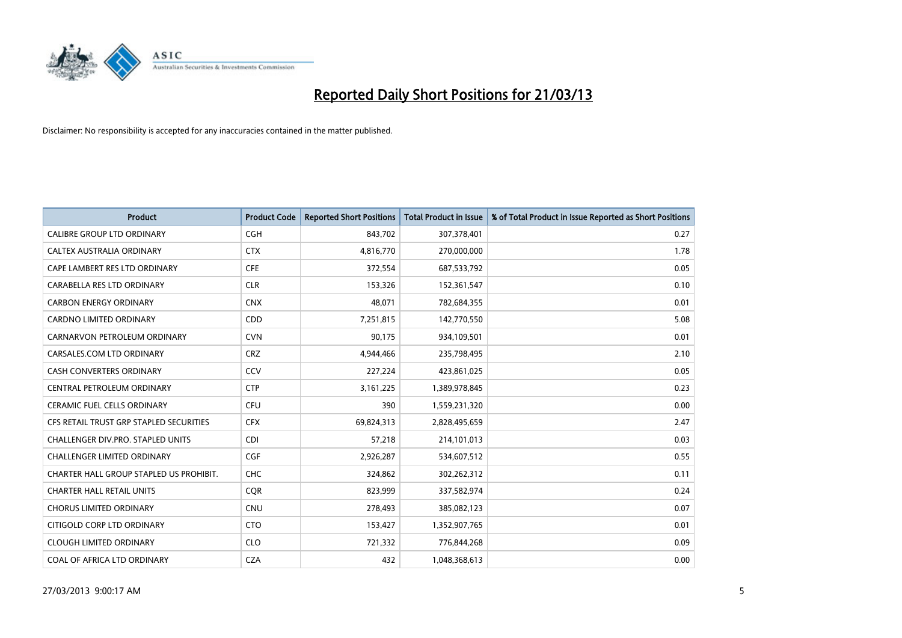

| <b>Product</b>                          | <b>Product Code</b> | <b>Reported Short Positions</b> | <b>Total Product in Issue</b> | % of Total Product in Issue Reported as Short Positions |
|-----------------------------------------|---------------------|---------------------------------|-------------------------------|---------------------------------------------------------|
| <b>CALIBRE GROUP LTD ORDINARY</b>       | <b>CGH</b>          | 843,702                         | 307,378,401                   | 0.27                                                    |
| CALTEX AUSTRALIA ORDINARY               | <b>CTX</b>          | 4,816,770                       | 270,000,000                   | 1.78                                                    |
| CAPE LAMBERT RES LTD ORDINARY           | <b>CFE</b>          | 372,554                         | 687,533,792                   | 0.05                                                    |
| CARABELLA RES LTD ORDINARY              | <b>CLR</b>          | 153,326                         | 152,361,547                   | 0.10                                                    |
| <b>CARBON ENERGY ORDINARY</b>           | <b>CNX</b>          | 48,071                          | 782,684,355                   | 0.01                                                    |
| <b>CARDNO LIMITED ORDINARY</b>          | CDD                 | 7,251,815                       | 142,770,550                   | 5.08                                                    |
| CARNARVON PETROLEUM ORDINARY            | <b>CVN</b>          | 90,175                          | 934,109,501                   | 0.01                                                    |
| CARSALES.COM LTD ORDINARY               | <b>CRZ</b>          | 4,944,466                       | 235,798,495                   | 2.10                                                    |
| <b>CASH CONVERTERS ORDINARY</b>         | CCV                 | 227,224                         | 423,861,025                   | 0.05                                                    |
| CENTRAL PETROLEUM ORDINARY              | <b>CTP</b>          | 3,161,225                       | 1,389,978,845                 | 0.23                                                    |
| CERAMIC FUEL CELLS ORDINARY             | <b>CFU</b>          | 390                             | 1,559,231,320                 | 0.00                                                    |
| CFS RETAIL TRUST GRP STAPLED SECURITIES | <b>CFX</b>          | 69,824,313                      | 2,828,495,659                 | 2.47                                                    |
| CHALLENGER DIV.PRO. STAPLED UNITS       | <b>CDI</b>          | 57,218                          | 214,101,013                   | 0.03                                                    |
| <b>CHALLENGER LIMITED ORDINARY</b>      | <b>CGF</b>          | 2,926,287                       | 534,607,512                   | 0.55                                                    |
| CHARTER HALL GROUP STAPLED US PROHIBIT. | CHC                 | 324,862                         | 302,262,312                   | 0.11                                                    |
| <b>CHARTER HALL RETAIL UNITS</b>        | <b>COR</b>          | 823,999                         | 337,582,974                   | 0.24                                                    |
| <b>CHORUS LIMITED ORDINARY</b>          | <b>CNU</b>          | 278,493                         | 385,082,123                   | 0.07                                                    |
| CITIGOLD CORP LTD ORDINARY              | <b>CTO</b>          | 153,427                         | 1,352,907,765                 | 0.01                                                    |
| <b>CLOUGH LIMITED ORDINARY</b>          | <b>CLO</b>          | 721,332                         | 776,844,268                   | 0.09                                                    |
| COAL OF AFRICA LTD ORDINARY             | <b>CZA</b>          | 432                             | 1,048,368,613                 | 0.00                                                    |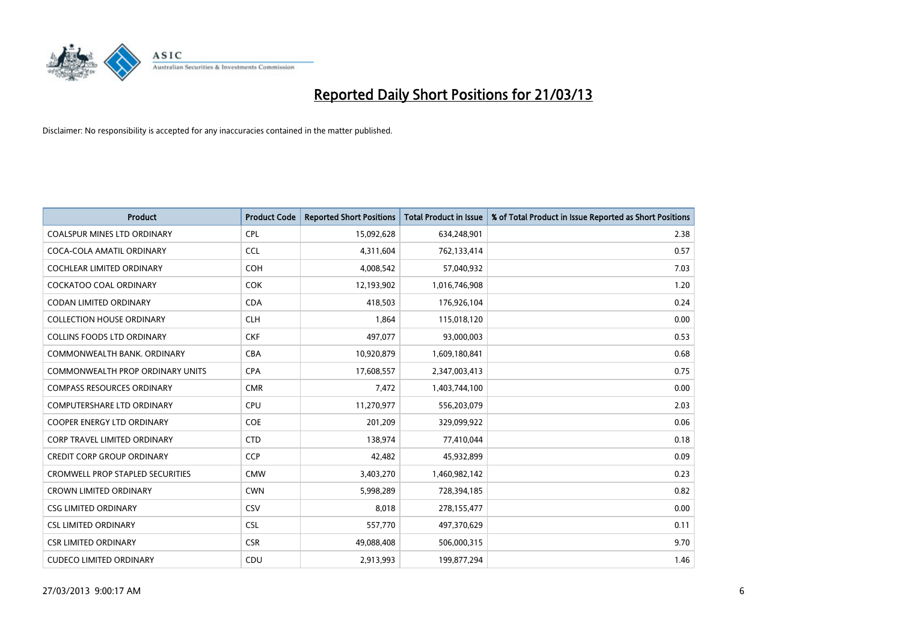

| <b>Product</b>                          | <b>Product Code</b> | <b>Reported Short Positions</b> | <b>Total Product in Issue</b> | % of Total Product in Issue Reported as Short Positions |
|-----------------------------------------|---------------------|---------------------------------|-------------------------------|---------------------------------------------------------|
| <b>COALSPUR MINES LTD ORDINARY</b>      | <b>CPL</b>          | 15,092,628                      | 634,248,901                   | 2.38                                                    |
| COCA-COLA AMATIL ORDINARY               | <b>CCL</b>          | 4,311,604                       | 762,133,414                   | 0.57                                                    |
| <b>COCHLEAR LIMITED ORDINARY</b>        | <b>COH</b>          | 4,008,542                       | 57,040,932                    | 7.03                                                    |
| COCKATOO COAL ORDINARY                  | <b>COK</b>          | 12,193,902                      | 1,016,746,908                 | 1.20                                                    |
| <b>CODAN LIMITED ORDINARY</b>           | <b>CDA</b>          | 418,503                         | 176,926,104                   | 0.24                                                    |
| <b>COLLECTION HOUSE ORDINARY</b>        | <b>CLH</b>          | 1,864                           | 115,018,120                   | 0.00                                                    |
| <b>COLLINS FOODS LTD ORDINARY</b>       | <b>CKF</b>          | 497,077                         | 93,000,003                    | 0.53                                                    |
| COMMONWEALTH BANK, ORDINARY             | <b>CBA</b>          | 10,920,879                      | 1,609,180,841                 | 0.68                                                    |
| <b>COMMONWEALTH PROP ORDINARY UNITS</b> | <b>CPA</b>          | 17,608,557                      | 2,347,003,413                 | 0.75                                                    |
| <b>COMPASS RESOURCES ORDINARY</b>       | <b>CMR</b>          | 7,472                           | 1,403,744,100                 | 0.00                                                    |
| COMPUTERSHARE LTD ORDINARY              | <b>CPU</b>          | 11,270,977                      | 556,203,079                   | 2.03                                                    |
| <b>COOPER ENERGY LTD ORDINARY</b>       | <b>COE</b>          | 201,209                         | 329,099,922                   | 0.06                                                    |
| <b>CORP TRAVEL LIMITED ORDINARY</b>     | <b>CTD</b>          | 138,974                         | 77,410,044                    | 0.18                                                    |
| <b>CREDIT CORP GROUP ORDINARY</b>       | <b>CCP</b>          | 42,482                          | 45,932,899                    | 0.09                                                    |
| <b>CROMWELL PROP STAPLED SECURITIES</b> | <b>CMW</b>          | 3,403,270                       | 1,460,982,142                 | 0.23                                                    |
| <b>CROWN LIMITED ORDINARY</b>           | <b>CWN</b>          | 5,998,289                       | 728,394,185                   | 0.82                                                    |
| <b>CSG LIMITED ORDINARY</b>             | CSV                 | 8,018                           | 278,155,477                   | 0.00                                                    |
| <b>CSL LIMITED ORDINARY</b>             | <b>CSL</b>          | 557,770                         | 497,370,629                   | 0.11                                                    |
| <b>CSR LIMITED ORDINARY</b>             | <b>CSR</b>          | 49,088,408                      | 506,000,315                   | 9.70                                                    |
| <b>CUDECO LIMITED ORDINARY</b>          | CDU                 | 2,913,993                       | 199,877,294                   | 1.46                                                    |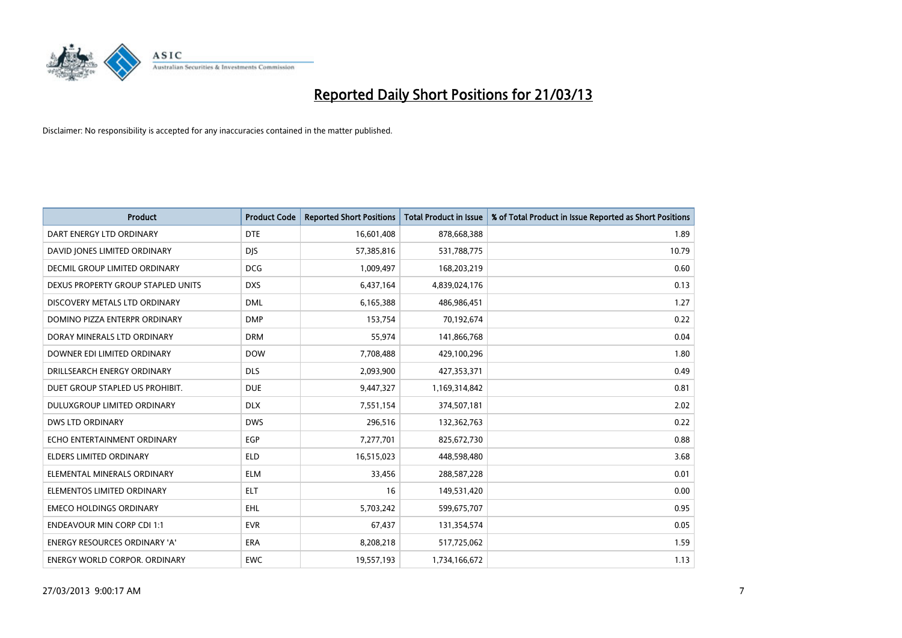

| <b>Product</b>                       | <b>Product Code</b> | <b>Reported Short Positions</b> | <b>Total Product in Issue</b> | % of Total Product in Issue Reported as Short Positions |
|--------------------------------------|---------------------|---------------------------------|-------------------------------|---------------------------------------------------------|
| DART ENERGY LTD ORDINARY             | <b>DTE</b>          | 16,601,408                      | 878,668,388                   | 1.89                                                    |
| DAVID JONES LIMITED ORDINARY         | <b>DIS</b>          | 57,385,816                      | 531,788,775                   | 10.79                                                   |
| <b>DECMIL GROUP LIMITED ORDINARY</b> | <b>DCG</b>          | 1,009,497                       | 168,203,219                   | 0.60                                                    |
| DEXUS PROPERTY GROUP STAPLED UNITS   | <b>DXS</b>          | 6,437,164                       | 4,839,024,176                 | 0.13                                                    |
| DISCOVERY METALS LTD ORDINARY        | <b>DML</b>          | 6,165,388                       | 486,986,451                   | 1.27                                                    |
| DOMINO PIZZA ENTERPR ORDINARY        | <b>DMP</b>          | 153,754                         | 70,192,674                    | 0.22                                                    |
| DORAY MINERALS LTD ORDINARY          | <b>DRM</b>          | 55,974                          | 141,866,768                   | 0.04                                                    |
| DOWNER EDI LIMITED ORDINARY          | <b>DOW</b>          | 7,708,488                       | 429,100,296                   | 1.80                                                    |
| DRILLSEARCH ENERGY ORDINARY          | <b>DLS</b>          | 2,093,900                       | 427,353,371                   | 0.49                                                    |
| DUET GROUP STAPLED US PROHIBIT.      | <b>DUE</b>          | 9,447,327                       | 1,169,314,842                 | 0.81                                                    |
| DULUXGROUP LIMITED ORDINARY          | <b>DLX</b>          | 7,551,154                       | 374,507,181                   | 2.02                                                    |
| <b>DWS LTD ORDINARY</b>              | <b>DWS</b>          | 296,516                         | 132,362,763                   | 0.22                                                    |
| ECHO ENTERTAINMENT ORDINARY          | <b>EGP</b>          | 7,277,701                       | 825,672,730                   | 0.88                                                    |
| <b>ELDERS LIMITED ORDINARY</b>       | <b>ELD</b>          | 16,515,023                      | 448,598,480                   | 3.68                                                    |
| ELEMENTAL MINERALS ORDINARY          | <b>ELM</b>          | 33,456                          | 288,587,228                   | 0.01                                                    |
| ELEMENTOS LIMITED ORDINARY           | <b>ELT</b>          | 16                              | 149,531,420                   | 0.00                                                    |
| <b>EMECO HOLDINGS ORDINARY</b>       | <b>EHL</b>          | 5,703,242                       | 599,675,707                   | 0.95                                                    |
| <b>ENDEAVOUR MIN CORP CDI 1:1</b>    | <b>EVR</b>          | 67,437                          | 131,354,574                   | 0.05                                                    |
| <b>ENERGY RESOURCES ORDINARY 'A'</b> | <b>ERA</b>          | 8,208,218                       | 517,725,062                   | 1.59                                                    |
| <b>ENERGY WORLD CORPOR. ORDINARY</b> | <b>EWC</b>          | 19,557,193                      | 1,734,166,672                 | 1.13                                                    |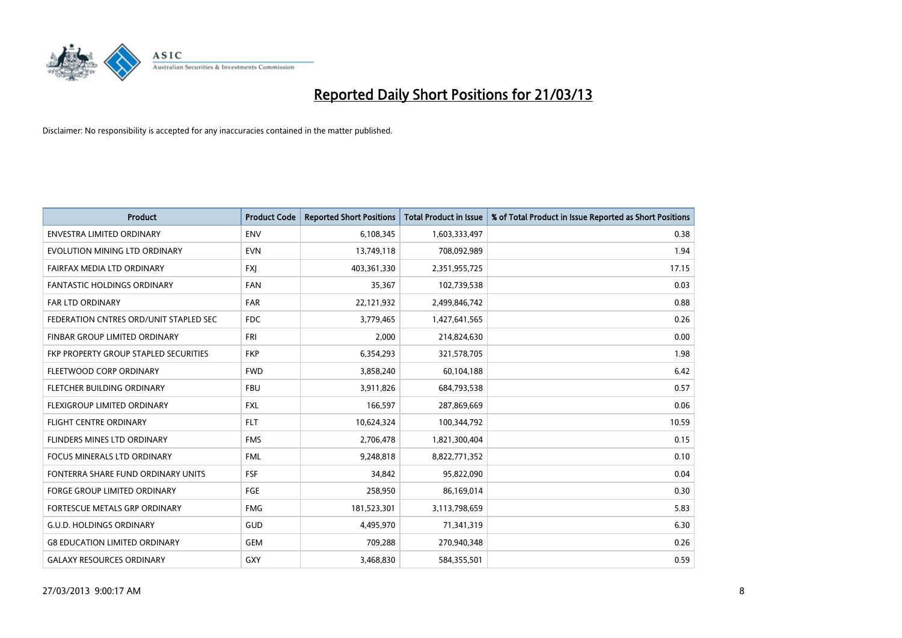

| <b>Product</b>                         | <b>Product Code</b> | <b>Reported Short Positions</b> | <b>Total Product in Issue</b> | % of Total Product in Issue Reported as Short Positions |
|----------------------------------------|---------------------|---------------------------------|-------------------------------|---------------------------------------------------------|
| <b>ENVESTRA LIMITED ORDINARY</b>       | <b>ENV</b>          | 6,108,345                       | 1,603,333,497                 | 0.38                                                    |
| EVOLUTION MINING LTD ORDINARY          | <b>EVN</b>          | 13,749,118                      | 708,092,989                   | 1.94                                                    |
| FAIRFAX MEDIA LTD ORDINARY             | <b>FXJ</b>          | 403,361,330                     | 2,351,955,725                 | 17.15                                                   |
| FANTASTIC HOLDINGS ORDINARY            | <b>FAN</b>          | 35,367                          | 102,739,538                   | 0.03                                                    |
| <b>FAR LTD ORDINARY</b>                | <b>FAR</b>          | 22,121,932                      | 2,499,846,742                 | 0.88                                                    |
| FEDERATION CNTRES ORD/UNIT STAPLED SEC | FDC                 | 3,779,465                       | 1,427,641,565                 | 0.26                                                    |
| FINBAR GROUP LIMITED ORDINARY          | <b>FRI</b>          | 2,000                           | 214,824,630                   | 0.00                                                    |
| FKP PROPERTY GROUP STAPLED SECURITIES  | <b>FKP</b>          | 6,354,293                       | 321,578,705                   | 1.98                                                    |
| FLEETWOOD CORP ORDINARY                | <b>FWD</b>          | 3,858,240                       | 60,104,188                    | 6.42                                                    |
| FLETCHER BUILDING ORDINARY             | <b>FBU</b>          | 3,911,826                       | 684,793,538                   | 0.57                                                    |
| FLEXIGROUP LIMITED ORDINARY            | <b>FXL</b>          | 166,597                         | 287,869,669                   | 0.06                                                    |
| <b>FLIGHT CENTRE ORDINARY</b>          | <b>FLT</b>          | 10,624,324                      | 100,344,792                   | 10.59                                                   |
| FLINDERS MINES LTD ORDINARY            | <b>FMS</b>          | 2,706,478                       | 1,821,300,404                 | 0.15                                                    |
| <b>FOCUS MINERALS LTD ORDINARY</b>     | <b>FML</b>          | 9,248,818                       | 8,822,771,352                 | 0.10                                                    |
| FONTERRA SHARE FUND ORDINARY UNITS     | <b>FSF</b>          | 34,842                          | 95,822,090                    | 0.04                                                    |
| FORGE GROUP LIMITED ORDINARY           | FGE                 | 258,950                         | 86,169,014                    | 0.30                                                    |
| <b>FORTESCUE METALS GRP ORDINARY</b>   | <b>FMG</b>          | 181,523,301                     | 3,113,798,659                 | 5.83                                                    |
| <b>G.U.D. HOLDINGS ORDINARY</b>        | GUD                 | 4,495,970                       | 71,341,319                    | 6.30                                                    |
| <b>G8 EDUCATION LIMITED ORDINARY</b>   | <b>GEM</b>          | 709,288                         | 270,940,348                   | 0.26                                                    |
| <b>GALAXY RESOURCES ORDINARY</b>       | <b>GXY</b>          | 3,468,830                       | 584,355,501                   | 0.59                                                    |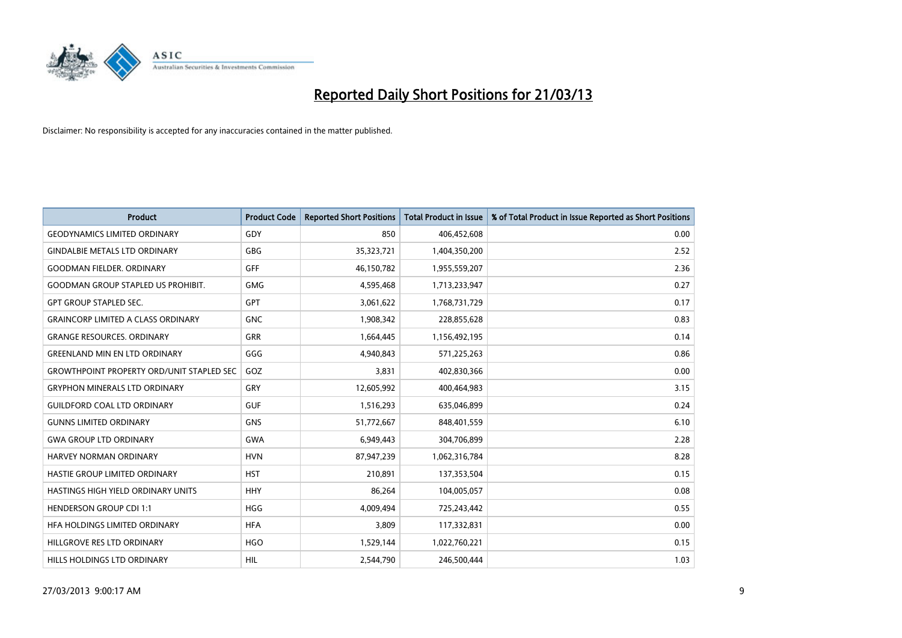

| <b>Product</b>                                   | <b>Product Code</b> | <b>Reported Short Positions</b> | <b>Total Product in Issue</b> | % of Total Product in Issue Reported as Short Positions |
|--------------------------------------------------|---------------------|---------------------------------|-------------------------------|---------------------------------------------------------|
| <b>GEODYNAMICS LIMITED ORDINARY</b>              | GDY                 | 850                             | 406,452,608                   | 0.00                                                    |
| <b>GINDALBIE METALS LTD ORDINARY</b>             | <b>GBG</b>          | 35,323,721                      | 1,404,350,200                 | 2.52                                                    |
| <b>GOODMAN FIELDER, ORDINARY</b>                 | <b>GFF</b>          | 46,150,782                      | 1,955,559,207                 | 2.36                                                    |
| <b>GOODMAN GROUP STAPLED US PROHIBIT.</b>        | <b>GMG</b>          | 4,595,468                       | 1,713,233,947                 | 0.27                                                    |
| <b>GPT GROUP STAPLED SEC.</b>                    | <b>GPT</b>          | 3,061,622                       | 1,768,731,729                 | 0.17                                                    |
| <b>GRAINCORP LIMITED A CLASS ORDINARY</b>        | <b>GNC</b>          | 1,908,342                       | 228,855,628                   | 0.83                                                    |
| <b>GRANGE RESOURCES, ORDINARY</b>                | <b>GRR</b>          | 1,664,445                       | 1,156,492,195                 | 0.14                                                    |
| <b>GREENLAND MIN EN LTD ORDINARY</b>             | GGG                 | 4,940,843                       | 571,225,263                   | 0.86                                                    |
| <b>GROWTHPOINT PROPERTY ORD/UNIT STAPLED SEC</b> | GOZ                 | 3,831                           | 402,830,366                   | 0.00                                                    |
| <b>GRYPHON MINERALS LTD ORDINARY</b>             | GRY                 | 12,605,992                      | 400,464,983                   | 3.15                                                    |
| <b>GUILDFORD COAL LTD ORDINARY</b>               | <b>GUF</b>          | 1,516,293                       | 635,046,899                   | 0.24                                                    |
| <b>GUNNS LIMITED ORDINARY</b>                    | <b>GNS</b>          | 51,772,667                      | 848,401,559                   | 6.10                                                    |
| <b>GWA GROUP LTD ORDINARY</b>                    | <b>GWA</b>          | 6,949,443                       | 304,706,899                   | 2.28                                                    |
| HARVEY NORMAN ORDINARY                           | <b>HVN</b>          | 87,947,239                      | 1,062,316,784                 | 8.28                                                    |
| HASTIE GROUP LIMITED ORDINARY                    | <b>HST</b>          | 210,891                         | 137,353,504                   | 0.15                                                    |
| HASTINGS HIGH YIELD ORDINARY UNITS               | <b>HHY</b>          | 86,264                          | 104,005,057                   | 0.08                                                    |
| <b>HENDERSON GROUP CDI 1:1</b>                   | <b>HGG</b>          | 4,009,494                       | 725,243,442                   | 0.55                                                    |
| HFA HOLDINGS LIMITED ORDINARY                    | <b>HFA</b>          | 3,809                           | 117,332,831                   | 0.00                                                    |
| HILLGROVE RES LTD ORDINARY                       | <b>HGO</b>          | 1,529,144                       | 1,022,760,221                 | 0.15                                                    |
| HILLS HOLDINGS LTD ORDINARY                      | HIL                 | 2,544,790                       | 246,500,444                   | 1.03                                                    |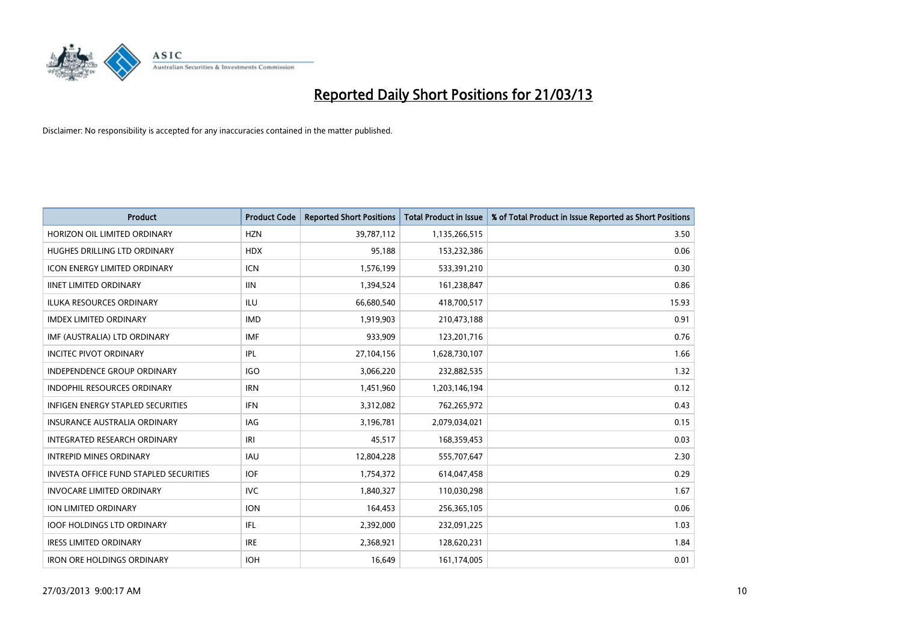

| <b>Product</b>                           | <b>Product Code</b> | <b>Reported Short Positions</b> | <b>Total Product in Issue</b> | % of Total Product in Issue Reported as Short Positions |
|------------------------------------------|---------------------|---------------------------------|-------------------------------|---------------------------------------------------------|
| HORIZON OIL LIMITED ORDINARY             | <b>HZN</b>          | 39,787,112                      | 1,135,266,515                 | 3.50                                                    |
| HUGHES DRILLING LTD ORDINARY             | <b>HDX</b>          | 95.188                          | 153,232,386                   | 0.06                                                    |
| <b>ICON ENERGY LIMITED ORDINARY</b>      | <b>ICN</b>          | 1,576,199                       | 533,391,210                   | 0.30                                                    |
| <b>IINET LIMITED ORDINARY</b>            | <b>IIN</b>          | 1,394,524                       | 161,238,847                   | 0.86                                                    |
| <b>ILUKA RESOURCES ORDINARY</b>          | ILU                 | 66,680,540                      | 418,700,517                   | 15.93                                                   |
| <b>IMDEX LIMITED ORDINARY</b>            | <b>IMD</b>          | 1,919,903                       | 210,473,188                   | 0.91                                                    |
| IMF (AUSTRALIA) LTD ORDINARY             | <b>IMF</b>          | 933.909                         | 123,201,716                   | 0.76                                                    |
| <b>INCITEC PIVOT ORDINARY</b>            | IPL                 | 27,104,156                      | 1,628,730,107                 | 1.66                                                    |
| INDEPENDENCE GROUP ORDINARY              | <b>IGO</b>          | 3,066,220                       | 232,882,535                   | 1.32                                                    |
| <b>INDOPHIL RESOURCES ORDINARY</b>       | <b>IRN</b>          | 1,451,960                       | 1,203,146,194                 | 0.12                                                    |
| <b>INFIGEN ENERGY STAPLED SECURITIES</b> | <b>IFN</b>          | 3,312,082                       | 762,265,972                   | 0.43                                                    |
| <b>INSURANCE AUSTRALIA ORDINARY</b>      | IAG                 | 3,196,781                       | 2,079,034,021                 | 0.15                                                    |
| INTEGRATED RESEARCH ORDINARY             | IRI                 | 45.517                          | 168,359,453                   | 0.03                                                    |
| <b>INTREPID MINES ORDINARY</b>           | <b>IAU</b>          | 12,804,228                      | 555,707,647                   | 2.30                                                    |
| INVESTA OFFICE FUND STAPLED SECURITIES   | <b>IOF</b>          | 1,754,372                       | 614,047,458                   | 0.29                                                    |
| <b>INVOCARE LIMITED ORDINARY</b>         | <b>IVC</b>          | 1,840,327                       | 110,030,298                   | 1.67                                                    |
| <b>ION LIMITED ORDINARY</b>              | <b>ION</b>          | 164,453                         | 256,365,105                   | 0.06                                                    |
| <b>IOOF HOLDINGS LTD ORDINARY</b>        | IFL                 | 2,392,000                       | 232,091,225                   | 1.03                                                    |
| <b>IRESS LIMITED ORDINARY</b>            | <b>IRE</b>          | 2,368,921                       | 128,620,231                   | 1.84                                                    |
| <b>IRON ORE HOLDINGS ORDINARY</b>        | <b>IOH</b>          | 16,649                          | 161,174,005                   | 0.01                                                    |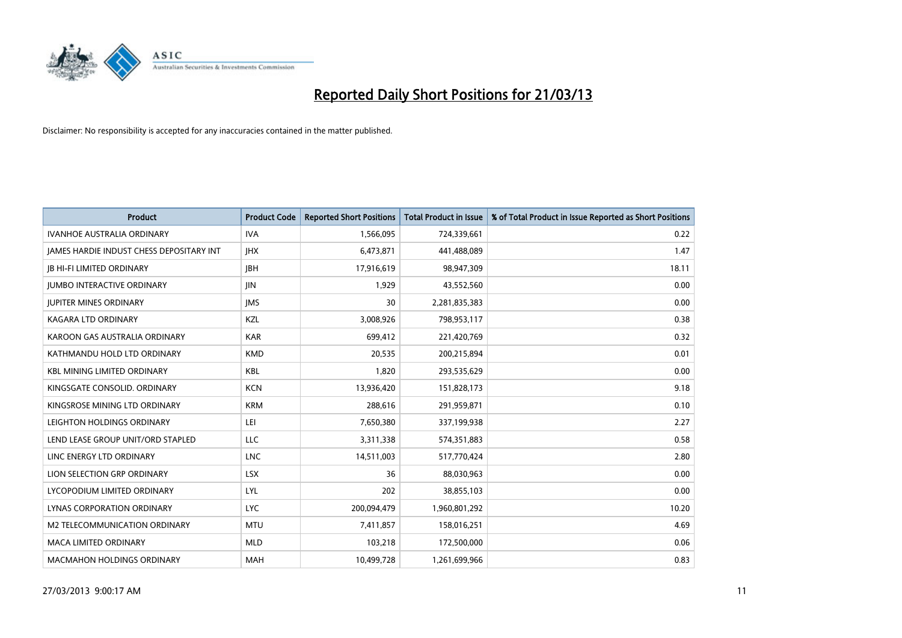

| <b>Product</b>                           | <b>Product Code</b> | <b>Reported Short Positions</b> | <b>Total Product in Issue</b> | % of Total Product in Issue Reported as Short Positions |
|------------------------------------------|---------------------|---------------------------------|-------------------------------|---------------------------------------------------------|
| <b>IVANHOE AUSTRALIA ORDINARY</b>        | <b>IVA</b>          | 1,566,095                       | 724,339,661                   | 0.22                                                    |
| JAMES HARDIE INDUST CHESS DEPOSITARY INT | <b>IHX</b>          | 6,473,871                       | 441,488,089                   | 1.47                                                    |
| <b>JB HI-FI LIMITED ORDINARY</b>         | <b>JBH</b>          | 17,916,619                      | 98,947,309                    | 18.11                                                   |
| <b>JUMBO INTERACTIVE ORDINARY</b>        | JIN                 | 1,929                           | 43,552,560                    | 0.00                                                    |
| <b>JUPITER MINES ORDINARY</b>            | <b>IMS</b>          | 30                              | 2,281,835,383                 | 0.00                                                    |
| <b>KAGARA LTD ORDINARY</b>               | KZL                 | 3,008,926                       | 798,953,117                   | 0.38                                                    |
| KAROON GAS AUSTRALIA ORDINARY            | <b>KAR</b>          | 699,412                         | 221,420,769                   | 0.32                                                    |
| KATHMANDU HOLD LTD ORDINARY              | <b>KMD</b>          | 20,535                          | 200,215,894                   | 0.01                                                    |
| <b>KBL MINING LIMITED ORDINARY</b>       | <b>KBL</b>          | 1,820                           | 293,535,629                   | 0.00                                                    |
| KINGSGATE CONSOLID. ORDINARY             | <b>KCN</b>          | 13,936,420                      | 151,828,173                   | 9.18                                                    |
| KINGSROSE MINING LTD ORDINARY            | <b>KRM</b>          | 288,616                         | 291,959,871                   | 0.10                                                    |
| LEIGHTON HOLDINGS ORDINARY               | LEI                 | 7,650,380                       | 337,199,938                   | 2.27                                                    |
| LEND LEASE GROUP UNIT/ORD STAPLED        | <b>LLC</b>          | 3,311,338                       | 574,351,883                   | 0.58                                                    |
| LINC ENERGY LTD ORDINARY                 | <b>LNC</b>          | 14,511,003                      | 517,770,424                   | 2.80                                                    |
| LION SELECTION GRP ORDINARY              | <b>LSX</b>          | 36                              | 88,030,963                    | 0.00                                                    |
| LYCOPODIUM LIMITED ORDINARY              | <b>LYL</b>          | 202                             | 38,855,103                    | 0.00                                                    |
| LYNAS CORPORATION ORDINARY               | <b>LYC</b>          | 200,094,479                     | 1,960,801,292                 | 10.20                                                   |
| M2 TELECOMMUNICATION ORDINARY            | <b>MTU</b>          | 7,411,857                       | 158,016,251                   | 4.69                                                    |
| <b>MACA LIMITED ORDINARY</b>             | <b>MLD</b>          | 103,218                         | 172,500,000                   | 0.06                                                    |
| <b>MACMAHON HOLDINGS ORDINARY</b>        | <b>MAH</b>          | 10,499,728                      | 1,261,699,966                 | 0.83                                                    |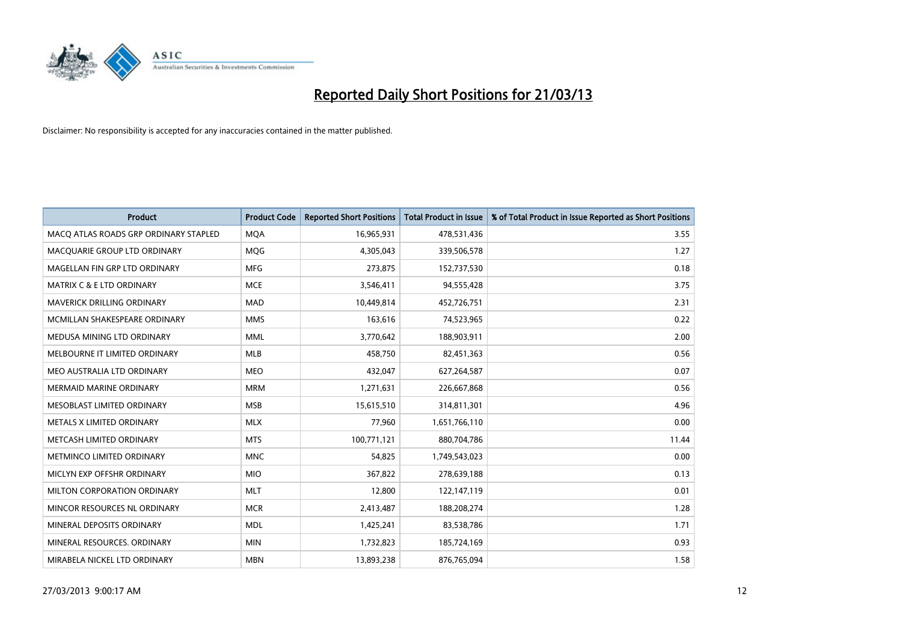

| <b>Product</b>                        | <b>Product Code</b> | <b>Reported Short Positions</b> | <b>Total Product in Issue</b> | % of Total Product in Issue Reported as Short Positions |
|---------------------------------------|---------------------|---------------------------------|-------------------------------|---------------------------------------------------------|
| MACO ATLAS ROADS GRP ORDINARY STAPLED | <b>MQA</b>          | 16,965,931                      | 478,531,436                   | 3.55                                                    |
| MACQUARIE GROUP LTD ORDINARY          | MQG                 | 4,305,043                       | 339,506,578                   | 1.27                                                    |
| MAGELLAN FIN GRP LTD ORDINARY         | <b>MFG</b>          | 273,875                         | 152,737,530                   | 0.18                                                    |
| <b>MATRIX C &amp; E LTD ORDINARY</b>  | <b>MCE</b>          | 3,546,411                       | 94,555,428                    | 3.75                                                    |
| MAVERICK DRILLING ORDINARY            | <b>MAD</b>          | 10,449,814                      | 452,726,751                   | 2.31                                                    |
| MCMILLAN SHAKESPEARE ORDINARY         | <b>MMS</b>          | 163,616                         | 74,523,965                    | 0.22                                                    |
| MEDUSA MINING LTD ORDINARY            | MML                 | 3,770,642                       | 188,903,911                   | 2.00                                                    |
| MELBOURNE IT LIMITED ORDINARY         | <b>MLB</b>          | 458,750                         | 82,451,363                    | 0.56                                                    |
| MEO AUSTRALIA LTD ORDINARY            | <b>MEO</b>          | 432,047                         | 627,264,587                   | 0.07                                                    |
| <b>MERMAID MARINE ORDINARY</b>        | <b>MRM</b>          | 1,271,631                       | 226,667,868                   | 0.56                                                    |
| MESOBLAST LIMITED ORDINARY            | <b>MSB</b>          | 15,615,510                      | 314,811,301                   | 4.96                                                    |
| METALS X LIMITED ORDINARY             | <b>MLX</b>          | 77,960                          | 1,651,766,110                 | 0.00                                                    |
| METCASH LIMITED ORDINARY              | <b>MTS</b>          | 100,771,121                     | 880,704,786                   | 11.44                                                   |
| METMINCO LIMITED ORDINARY             | <b>MNC</b>          | 54,825                          | 1,749,543,023                 | 0.00                                                    |
| MICLYN EXP OFFSHR ORDINARY            | <b>MIO</b>          | 367,822                         | 278,639,188                   | 0.13                                                    |
| MILTON CORPORATION ORDINARY           | <b>MLT</b>          | 12,800                          | 122,147,119                   | 0.01                                                    |
| MINCOR RESOURCES NL ORDINARY          | <b>MCR</b>          | 2,413,487                       | 188,208,274                   | 1.28                                                    |
| MINERAL DEPOSITS ORDINARY             | <b>MDL</b>          | 1,425,241                       | 83,538,786                    | 1.71                                                    |
| MINERAL RESOURCES, ORDINARY           | <b>MIN</b>          | 1,732,823                       | 185,724,169                   | 0.93                                                    |
| MIRABELA NICKEL LTD ORDINARY          | <b>MBN</b>          | 13,893,238                      | 876,765,094                   | 1.58                                                    |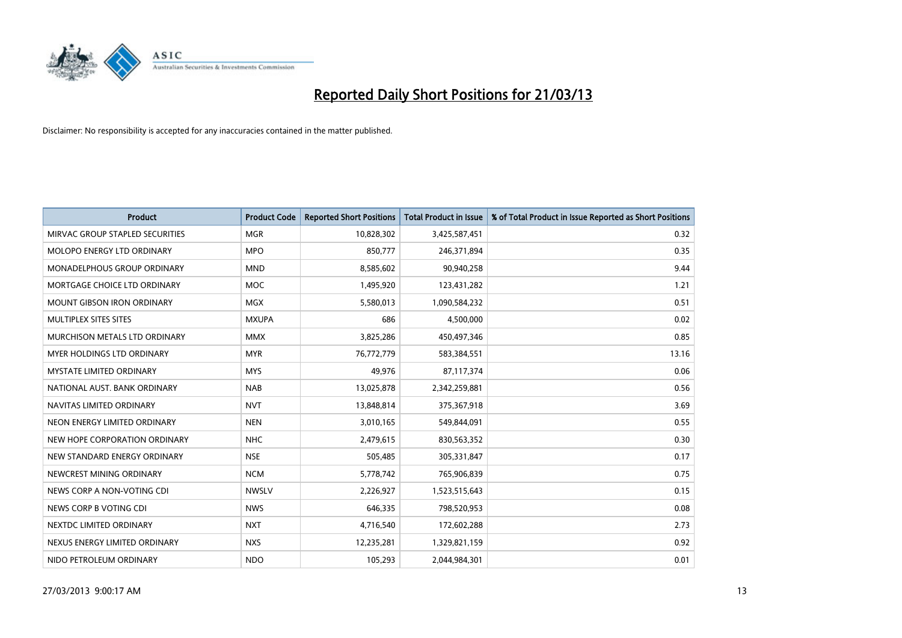

| <b>Product</b>                     | <b>Product Code</b> | <b>Reported Short Positions</b> | <b>Total Product in Issue</b> | % of Total Product in Issue Reported as Short Positions |
|------------------------------------|---------------------|---------------------------------|-------------------------------|---------------------------------------------------------|
| MIRVAC GROUP STAPLED SECURITIES    | <b>MGR</b>          | 10,828,302                      | 3,425,587,451                 | 0.32                                                    |
| <b>MOLOPO ENERGY LTD ORDINARY</b>  | <b>MPO</b>          | 850,777                         | 246,371,894                   | 0.35                                                    |
| <b>MONADELPHOUS GROUP ORDINARY</b> | <b>MND</b>          | 8,585,602                       | 90,940,258                    | 9.44                                                    |
| MORTGAGE CHOICE LTD ORDINARY       | <b>MOC</b>          | 1,495,920                       | 123,431,282                   | 1.21                                                    |
| <b>MOUNT GIBSON IRON ORDINARY</b>  | <b>MGX</b>          | 5,580,013                       | 1,090,584,232                 | 0.51                                                    |
| MULTIPLEX SITES SITES              | <b>MXUPA</b>        | 686                             | 4,500,000                     | 0.02                                                    |
| MURCHISON METALS LTD ORDINARY      | <b>MMX</b>          | 3,825,286                       | 450,497,346                   | 0.85                                                    |
| <b>MYER HOLDINGS LTD ORDINARY</b>  | <b>MYR</b>          | 76,772,779                      | 583,384,551                   | 13.16                                                   |
| <b>MYSTATE LIMITED ORDINARY</b>    | <b>MYS</b>          | 49,976                          | 87,117,374                    | 0.06                                                    |
| NATIONAL AUST, BANK ORDINARY       | <b>NAB</b>          | 13,025,878                      | 2,342,259,881                 | 0.56                                                    |
| NAVITAS LIMITED ORDINARY           | <b>NVT</b>          | 13,848,814                      | 375,367,918                   | 3.69                                                    |
| NEON ENERGY LIMITED ORDINARY       | <b>NEN</b>          | 3,010,165                       | 549,844,091                   | 0.55                                                    |
| NEW HOPE CORPORATION ORDINARY      | <b>NHC</b>          | 2,479,615                       | 830,563,352                   | 0.30                                                    |
| NEW STANDARD ENERGY ORDINARY       | <b>NSE</b>          | 505,485                         | 305,331,847                   | 0.17                                                    |
| NEWCREST MINING ORDINARY           | <b>NCM</b>          | 5,778,742                       | 765,906,839                   | 0.75                                                    |
| NEWS CORP A NON-VOTING CDI         | <b>NWSLV</b>        | 2,226,927                       | 1,523,515,643                 | 0.15                                                    |
| NEWS CORP B VOTING CDI             | <b>NWS</b>          | 646,335                         | 798,520,953                   | 0.08                                                    |
| NEXTDC LIMITED ORDINARY            | <b>NXT</b>          | 4,716,540                       | 172,602,288                   | 2.73                                                    |
| NEXUS ENERGY LIMITED ORDINARY      | <b>NXS</b>          | 12,235,281                      | 1,329,821,159                 | 0.92                                                    |
| NIDO PETROLEUM ORDINARY            | <b>NDO</b>          | 105,293                         | 2,044,984,301                 | 0.01                                                    |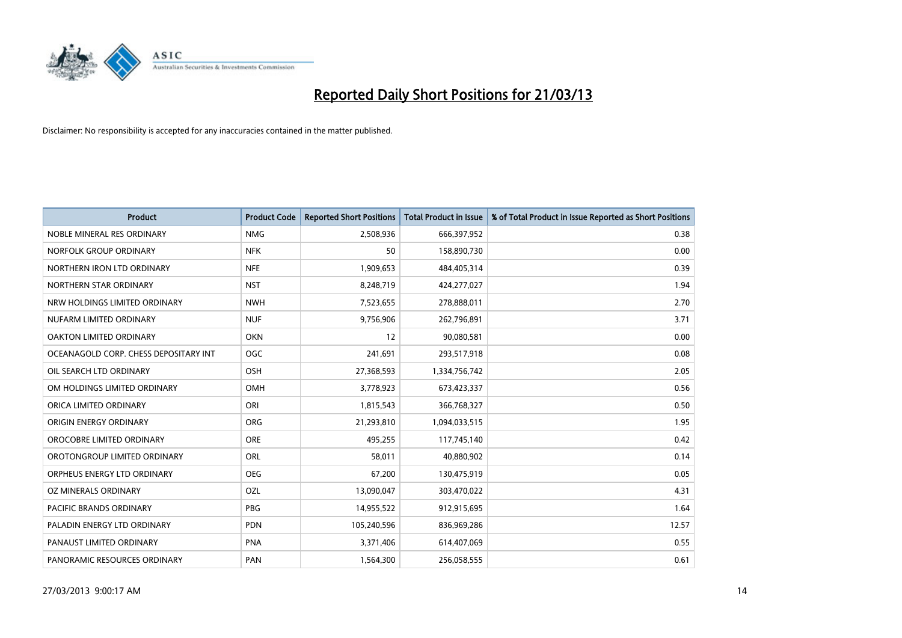

| <b>Product</b>                        | <b>Product Code</b> | <b>Reported Short Positions</b> | <b>Total Product in Issue</b> | % of Total Product in Issue Reported as Short Positions |
|---------------------------------------|---------------------|---------------------------------|-------------------------------|---------------------------------------------------------|
| NOBLE MINERAL RES ORDINARY            | <b>NMG</b>          | 2,508,936                       | 666,397,952                   | 0.38                                                    |
| NORFOLK GROUP ORDINARY                | <b>NFK</b>          | 50                              | 158,890,730                   | 0.00                                                    |
| NORTHERN IRON LTD ORDINARY            | <b>NFE</b>          | 1,909,653                       | 484,405,314                   | 0.39                                                    |
| NORTHERN STAR ORDINARY                | <b>NST</b>          | 8,248,719                       | 424,277,027                   | 1.94                                                    |
| NRW HOLDINGS LIMITED ORDINARY         | <b>NWH</b>          | 7,523,655                       | 278,888,011                   | 2.70                                                    |
| NUFARM LIMITED ORDINARY               | <b>NUF</b>          | 9,756,906                       | 262,796,891                   | 3.71                                                    |
| OAKTON LIMITED ORDINARY               | <b>OKN</b>          | 12                              | 90,080,581                    | 0.00                                                    |
| OCEANAGOLD CORP. CHESS DEPOSITARY INT | <b>OGC</b>          | 241,691                         | 293,517,918                   | 0.08                                                    |
| OIL SEARCH LTD ORDINARY               | OSH                 | 27,368,593                      | 1,334,756,742                 | 2.05                                                    |
| OM HOLDINGS LIMITED ORDINARY          | <b>OMH</b>          | 3,778,923                       | 673,423,337                   | 0.56                                                    |
| ORICA LIMITED ORDINARY                | ORI                 | 1,815,543                       | 366,768,327                   | 0.50                                                    |
| ORIGIN ENERGY ORDINARY                | <b>ORG</b>          | 21,293,810                      | 1,094,033,515                 | 1.95                                                    |
| OROCOBRE LIMITED ORDINARY             | <b>ORE</b>          | 495,255                         | 117,745,140                   | 0.42                                                    |
| OROTONGROUP LIMITED ORDINARY          | ORL                 | 58,011                          | 40,880,902                    | 0.14                                                    |
| ORPHEUS ENERGY LTD ORDINARY           | <b>OEG</b>          | 67,200                          | 130,475,919                   | 0.05                                                    |
| OZ MINERALS ORDINARY                  | OZL                 | 13,090,047                      | 303,470,022                   | 4.31                                                    |
| PACIFIC BRANDS ORDINARY               | PBG                 | 14,955,522                      | 912,915,695                   | 1.64                                                    |
| PALADIN ENERGY LTD ORDINARY           | <b>PDN</b>          | 105,240,596                     | 836,969,286                   | 12.57                                                   |
| PANAUST LIMITED ORDINARY              | <b>PNA</b>          | 3,371,406                       | 614,407,069                   | 0.55                                                    |
| PANORAMIC RESOURCES ORDINARY          | PAN                 | 1,564,300                       | 256,058,555                   | 0.61                                                    |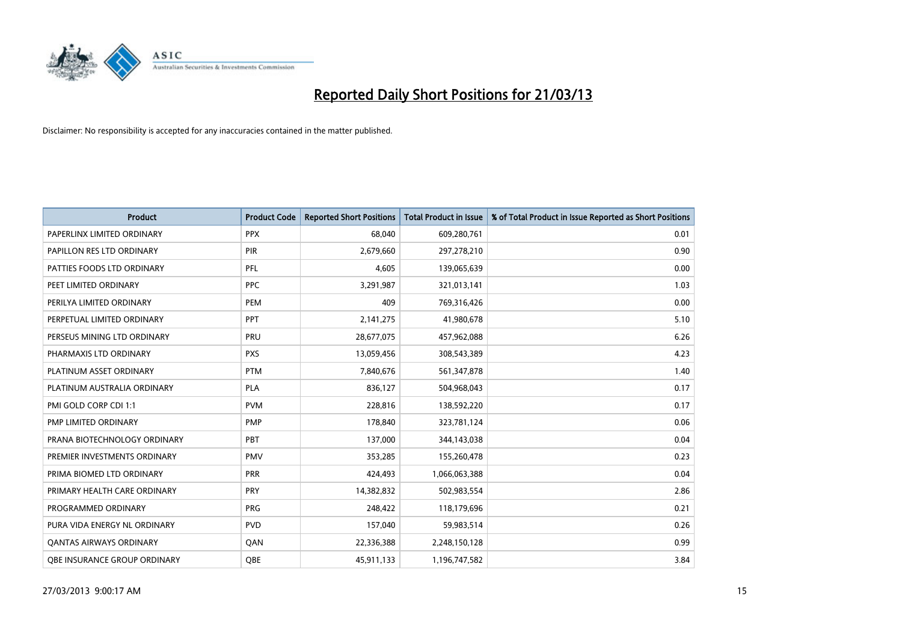

| <b>Product</b>                 | <b>Product Code</b> | <b>Reported Short Positions</b> | <b>Total Product in Issue</b> | % of Total Product in Issue Reported as Short Positions |
|--------------------------------|---------------------|---------------------------------|-------------------------------|---------------------------------------------------------|
| PAPERLINX LIMITED ORDINARY     | <b>PPX</b>          | 68,040                          | 609,280,761                   | 0.01                                                    |
| PAPILLON RES LTD ORDINARY      | <b>PIR</b>          | 2,679,660                       | 297,278,210                   | 0.90                                                    |
| PATTIES FOODS LTD ORDINARY     | PFL                 | 4,605                           | 139,065,639                   | 0.00                                                    |
| PEET LIMITED ORDINARY          | <b>PPC</b>          | 3,291,987                       | 321,013,141                   | 1.03                                                    |
| PERILYA LIMITED ORDINARY       | PEM                 | 409                             | 769,316,426                   | 0.00                                                    |
| PERPETUAL LIMITED ORDINARY     | PPT                 | 2,141,275                       | 41,980,678                    | 5.10                                                    |
| PERSEUS MINING LTD ORDINARY    | <b>PRU</b>          | 28,677,075                      | 457,962,088                   | 6.26                                                    |
| PHARMAXIS LTD ORDINARY         | <b>PXS</b>          | 13,059,456                      | 308,543,389                   | 4.23                                                    |
| PLATINUM ASSET ORDINARY        | <b>PTM</b>          | 7,840,676                       | 561,347,878                   | 1.40                                                    |
| PLATINUM AUSTRALIA ORDINARY    | <b>PLA</b>          | 836,127                         | 504,968,043                   | 0.17                                                    |
| PMI GOLD CORP CDI 1:1          | <b>PVM</b>          | 228,816                         | 138,592,220                   | 0.17                                                    |
| PMP LIMITED ORDINARY           | <b>PMP</b>          | 178,840                         | 323,781,124                   | 0.06                                                    |
| PRANA BIOTECHNOLOGY ORDINARY   | <b>PBT</b>          | 137,000                         | 344,143,038                   | 0.04                                                    |
| PREMIER INVESTMENTS ORDINARY   | <b>PMV</b>          | 353,285                         | 155,260,478                   | 0.23                                                    |
| PRIMA BIOMED LTD ORDINARY      | <b>PRR</b>          | 424,493                         | 1,066,063,388                 | 0.04                                                    |
| PRIMARY HEALTH CARE ORDINARY   | <b>PRY</b>          | 14,382,832                      | 502,983,554                   | 2.86                                                    |
| PROGRAMMED ORDINARY            | <b>PRG</b>          | 248,422                         | 118,179,696                   | 0.21                                                    |
| PURA VIDA ENERGY NL ORDINARY   | <b>PVD</b>          | 157,040                         | 59,983,514                    | 0.26                                                    |
| <b>QANTAS AIRWAYS ORDINARY</b> | QAN                 | 22,336,388                      | 2,248,150,128                 | 0.99                                                    |
| OBE INSURANCE GROUP ORDINARY   | OBE                 | 45,911,133                      | 1,196,747,582                 | 3.84                                                    |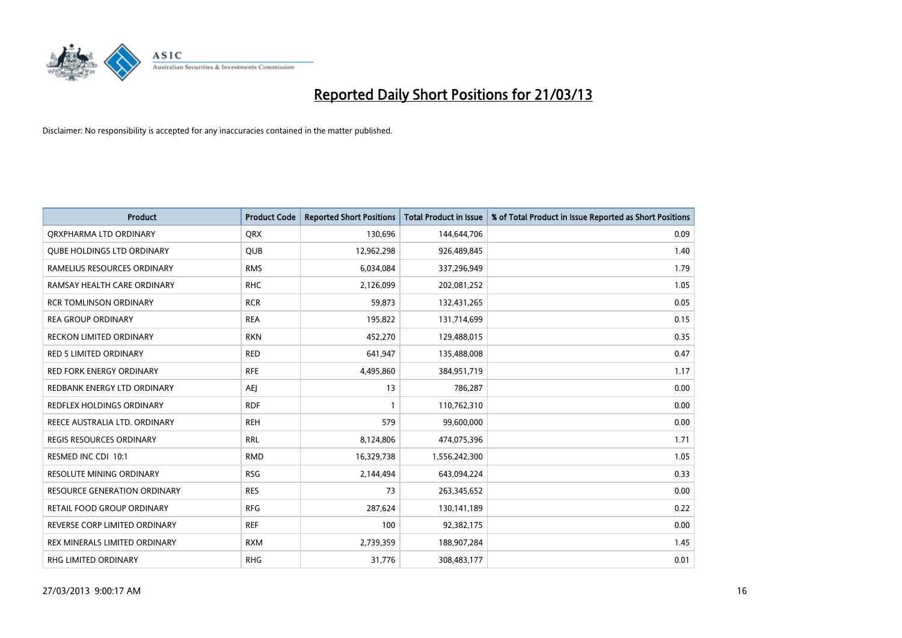

| <b>Product</b>                      | <b>Product Code</b> | <b>Reported Short Positions</b> | <b>Total Product in Issue</b> | % of Total Product in Issue Reported as Short Positions |
|-------------------------------------|---------------------|---------------------------------|-------------------------------|---------------------------------------------------------|
| ORXPHARMA LTD ORDINARY              | <b>QRX</b>          | 130,696                         | 144,644,706                   | 0.09                                                    |
| <b>QUBE HOLDINGS LTD ORDINARY</b>   | QUB                 | 12,962,298                      | 926,489,845                   | 1.40                                                    |
| RAMELIUS RESOURCES ORDINARY         | <b>RMS</b>          | 6,034,084                       | 337,296,949                   | 1.79                                                    |
| RAMSAY HEALTH CARE ORDINARY         | <b>RHC</b>          | 2,126,099                       | 202,081,252                   | 1.05                                                    |
| <b>RCR TOMLINSON ORDINARY</b>       | <b>RCR</b>          | 59,873                          | 132,431,265                   | 0.05                                                    |
| <b>REA GROUP ORDINARY</b>           | <b>REA</b>          | 195,822                         | 131,714,699                   | 0.15                                                    |
| <b>RECKON LIMITED ORDINARY</b>      | <b>RKN</b>          | 452,270                         | 129,488,015                   | 0.35                                                    |
| RED 5 LIMITED ORDINARY              | <b>RED</b>          | 641,947                         | 135,488,008                   | 0.47                                                    |
| <b>RED FORK ENERGY ORDINARY</b>     | <b>RFE</b>          | 4,495,860                       | 384,951,719                   | 1.17                                                    |
| REDBANK ENERGY LTD ORDINARY         | AEJ                 | 13                              | 786,287                       | 0.00                                                    |
| REDFLEX HOLDINGS ORDINARY           | <b>RDF</b>          | 1                               | 110,762,310                   | 0.00                                                    |
| REECE AUSTRALIA LTD. ORDINARY       | <b>REH</b>          | 579                             | 99,600,000                    | 0.00                                                    |
| <b>REGIS RESOURCES ORDINARY</b>     | <b>RRL</b>          | 8,124,806                       | 474,075,396                   | 1.71                                                    |
| RESMED INC CDI 10:1                 | <b>RMD</b>          | 16,329,738                      | 1,556,242,300                 | 1.05                                                    |
| <b>RESOLUTE MINING ORDINARY</b>     | <b>RSG</b>          | 2,144,494                       | 643,094,224                   | 0.33                                                    |
| <b>RESOURCE GENERATION ORDINARY</b> | <b>RES</b>          | 73                              | 263,345,652                   | 0.00                                                    |
| RETAIL FOOD GROUP ORDINARY          | <b>RFG</b>          | 287,624                         | 130,141,189                   | 0.22                                                    |
| REVERSE CORP LIMITED ORDINARY       | <b>REF</b>          | 100                             | 92,382,175                    | 0.00                                                    |
| REX MINERALS LIMITED ORDINARY       | <b>RXM</b>          | 2,739,359                       | 188,907,284                   | 1.45                                                    |
| <b>RHG LIMITED ORDINARY</b>         | <b>RHG</b>          | 31,776                          | 308,483,177                   | 0.01                                                    |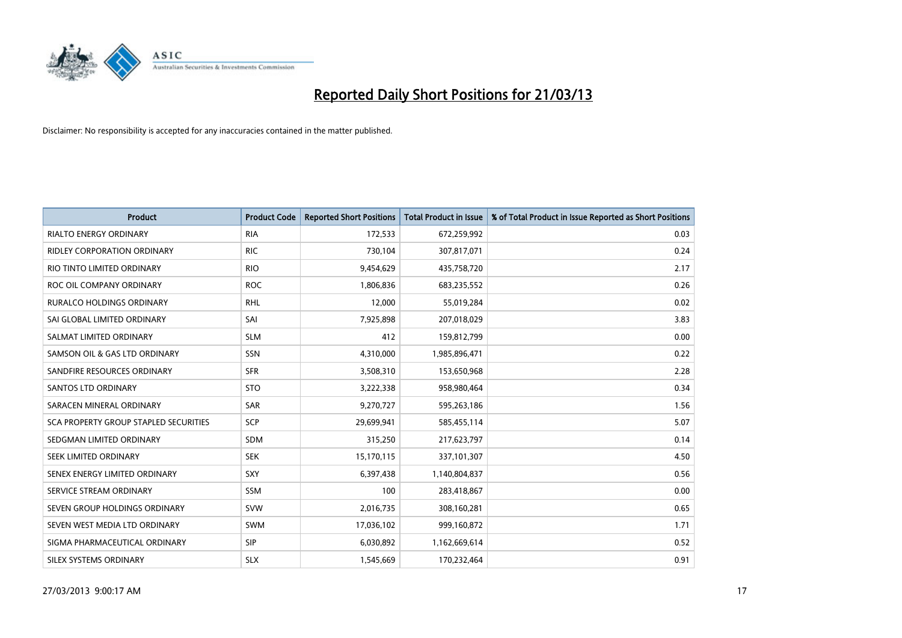

| <b>Product</b>                        | <b>Product Code</b> | <b>Reported Short Positions</b> | <b>Total Product in Issue</b> | % of Total Product in Issue Reported as Short Positions |
|---------------------------------------|---------------------|---------------------------------|-------------------------------|---------------------------------------------------------|
| <b>RIALTO ENERGY ORDINARY</b>         | <b>RIA</b>          | 172,533                         | 672,259,992                   | 0.03                                                    |
| RIDLEY CORPORATION ORDINARY           | <b>RIC</b>          | 730,104                         | 307,817,071                   | 0.24                                                    |
| RIO TINTO LIMITED ORDINARY            | <b>RIO</b>          | 9,454,629                       | 435,758,720                   | 2.17                                                    |
| ROC OIL COMPANY ORDINARY              | <b>ROC</b>          | 1,806,836                       | 683,235,552                   | 0.26                                                    |
| <b>RURALCO HOLDINGS ORDINARY</b>      | <b>RHL</b>          | 12,000                          | 55,019,284                    | 0.02                                                    |
| SAI GLOBAL LIMITED ORDINARY           | SAI                 | 7,925,898                       | 207,018,029                   | 3.83                                                    |
| SALMAT LIMITED ORDINARY               | <b>SLM</b>          | 412                             | 159,812,799                   | 0.00                                                    |
| SAMSON OIL & GAS LTD ORDINARY         | SSN                 | 4,310,000                       | 1,985,896,471                 | 0.22                                                    |
| SANDFIRE RESOURCES ORDINARY           | <b>SFR</b>          | 3,508,310                       | 153,650,968                   | 2.28                                                    |
| SANTOS LTD ORDINARY                   | <b>STO</b>          | 3,222,338                       | 958,980,464                   | 0.34                                                    |
| SARACEN MINERAL ORDINARY              | SAR                 | 9,270,727                       | 595,263,186                   | 1.56                                                    |
| SCA PROPERTY GROUP STAPLED SECURITIES | <b>SCP</b>          | 29,699,941                      | 585,455,114                   | 5.07                                                    |
| SEDGMAN LIMITED ORDINARY              | SDM                 | 315,250                         | 217,623,797                   | 0.14                                                    |
| SEEK LIMITED ORDINARY                 | <b>SEK</b>          | 15,170,115                      | 337,101,307                   | 4.50                                                    |
| SENEX ENERGY LIMITED ORDINARY         | <b>SXY</b>          | 6,397,438                       | 1,140,804,837                 | 0.56                                                    |
| SERVICE STREAM ORDINARY               | SSM                 | 100                             | 283,418,867                   | 0.00                                                    |
| SEVEN GROUP HOLDINGS ORDINARY         | <b>SVW</b>          | 2,016,735                       | 308,160,281                   | 0.65                                                    |
| SEVEN WEST MEDIA LTD ORDINARY         | <b>SWM</b>          | 17,036,102                      | 999,160,872                   | 1.71                                                    |
| SIGMA PHARMACEUTICAL ORDINARY         | <b>SIP</b>          | 6,030,892                       | 1,162,669,614                 | 0.52                                                    |
| SILEX SYSTEMS ORDINARY                | <b>SLX</b>          | 1,545,669                       | 170,232,464                   | 0.91                                                    |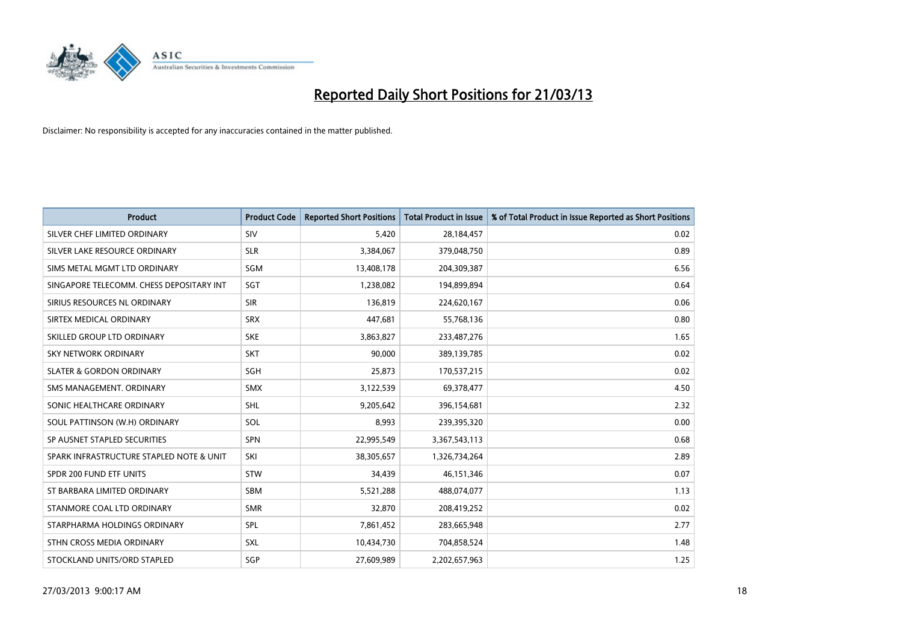

| <b>Product</b>                           | <b>Product Code</b> | <b>Reported Short Positions</b> | <b>Total Product in Issue</b> | % of Total Product in Issue Reported as Short Positions |
|------------------------------------------|---------------------|---------------------------------|-------------------------------|---------------------------------------------------------|
| SILVER CHEF LIMITED ORDINARY             | SIV                 | 5,420                           | 28,184,457                    | 0.02                                                    |
| SILVER LAKE RESOURCE ORDINARY            | <b>SLR</b>          | 3,384,067                       | 379,048,750                   | 0.89                                                    |
| SIMS METAL MGMT LTD ORDINARY             | <b>SGM</b>          | 13,408,178                      | 204,309,387                   | 6.56                                                    |
| SINGAPORE TELECOMM. CHESS DEPOSITARY INT | SGT                 | 1,238,082                       | 194,899,894                   | 0.64                                                    |
| SIRIUS RESOURCES NL ORDINARY             | <b>SIR</b>          | 136,819                         | 224,620,167                   | 0.06                                                    |
| SIRTEX MEDICAL ORDINARY                  | <b>SRX</b>          | 447,681                         | 55,768,136                    | 0.80                                                    |
| SKILLED GROUP LTD ORDINARY               | <b>SKE</b>          | 3,863,827                       | 233,487,276                   | 1.65                                                    |
| SKY NETWORK ORDINARY                     | <b>SKT</b>          | 90,000                          | 389,139,785                   | 0.02                                                    |
| <b>SLATER &amp; GORDON ORDINARY</b>      | SGH                 | 25,873                          | 170,537,215                   | 0.02                                                    |
| SMS MANAGEMENT, ORDINARY                 | <b>SMX</b>          | 3,122,539                       | 69,378,477                    | 4.50                                                    |
| SONIC HEALTHCARE ORDINARY                | SHL                 | 9,205,642                       | 396,154,681                   | 2.32                                                    |
| SOUL PATTINSON (W.H) ORDINARY            | SOL                 | 8,993                           | 239,395,320                   | 0.00                                                    |
| SP AUSNET STAPLED SECURITIES             | <b>SPN</b>          | 22,995,549                      | 3,367,543,113                 | 0.68                                                    |
| SPARK INFRASTRUCTURE STAPLED NOTE & UNIT | SKI                 | 38,305,657                      | 1,326,734,264                 | 2.89                                                    |
| SPDR 200 FUND ETF UNITS                  | <b>STW</b>          | 34,439                          | 46, 151, 346                  | 0.07                                                    |
| ST BARBARA LIMITED ORDINARY              | SBM                 | 5,521,288                       | 488,074,077                   | 1.13                                                    |
| STANMORE COAL LTD ORDINARY               | <b>SMR</b>          | 32,870                          | 208,419,252                   | 0.02                                                    |
| STARPHARMA HOLDINGS ORDINARY             | <b>SPL</b>          | 7,861,452                       | 283,665,948                   | 2.77                                                    |
| STHN CROSS MEDIA ORDINARY                | <b>SXL</b>          | 10,434,730                      | 704,858,524                   | 1.48                                                    |
| STOCKLAND UNITS/ORD STAPLED              | SGP                 | 27,609,989                      | 2,202,657,963                 | 1.25                                                    |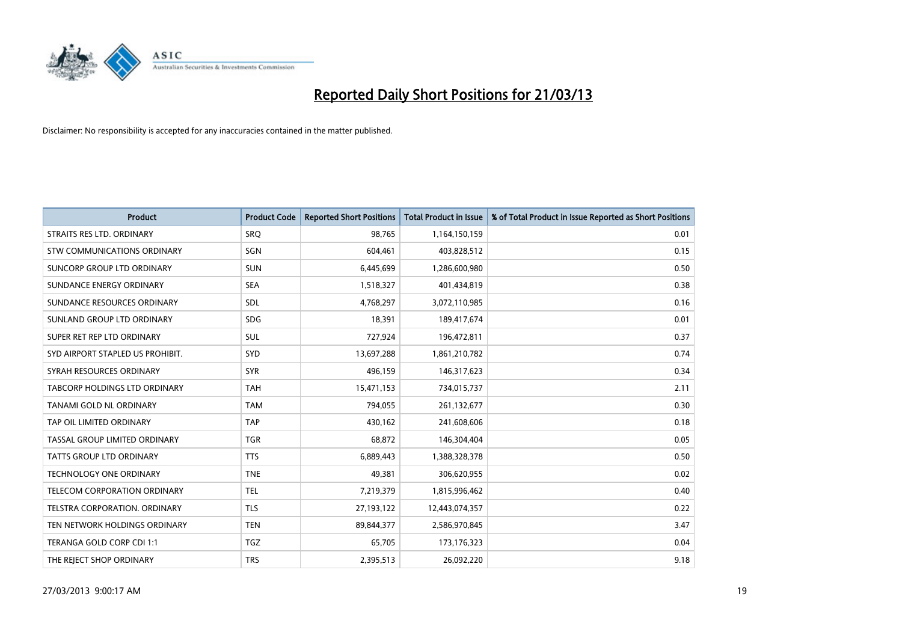

| <b>Product</b>                   | <b>Product Code</b> | <b>Reported Short Positions</b> | <b>Total Product in Issue</b> | % of Total Product in Issue Reported as Short Positions |
|----------------------------------|---------------------|---------------------------------|-------------------------------|---------------------------------------------------------|
| STRAITS RES LTD. ORDINARY        | <b>SRO</b>          | 98,765                          | 1,164,150,159                 | 0.01                                                    |
| STW COMMUNICATIONS ORDINARY      | SGN                 | 604,461                         | 403,828,512                   | 0.15                                                    |
| SUNCORP GROUP LTD ORDINARY       | <b>SUN</b>          | 6,445,699                       | 1,286,600,980                 | 0.50                                                    |
| SUNDANCE ENERGY ORDINARY         | <b>SEA</b>          | 1,518,327                       | 401,434,819                   | 0.38                                                    |
| SUNDANCE RESOURCES ORDINARY      | SDL                 | 4,768,297                       | 3,072,110,985                 | 0.16                                                    |
| SUNLAND GROUP LTD ORDINARY       | <b>SDG</b>          | 18,391                          | 189,417,674                   | 0.01                                                    |
| SUPER RET REP LTD ORDINARY       | SUL                 | 727,924                         | 196,472,811                   | 0.37                                                    |
| SYD AIRPORT STAPLED US PROHIBIT. | SYD                 | 13,697,288                      | 1,861,210,782                 | 0.74                                                    |
| SYRAH RESOURCES ORDINARY         | <b>SYR</b>          | 496,159                         | 146,317,623                   | 0.34                                                    |
| TABCORP HOLDINGS LTD ORDINARY    | <b>TAH</b>          | 15,471,153                      | 734,015,737                   | 2.11                                                    |
| TANAMI GOLD NL ORDINARY          | <b>TAM</b>          | 794,055                         | 261,132,677                   | 0.30                                                    |
| TAP OIL LIMITED ORDINARY         | <b>TAP</b>          | 430,162                         | 241,608,606                   | 0.18                                                    |
| TASSAL GROUP LIMITED ORDINARY    | <b>TGR</b>          | 68,872                          | 146,304,404                   | 0.05                                                    |
| <b>TATTS GROUP LTD ORDINARY</b>  | <b>TTS</b>          | 6,889,443                       | 1,388,328,378                 | 0.50                                                    |
| <b>TECHNOLOGY ONE ORDINARY</b>   | <b>TNE</b>          | 49,381                          | 306,620,955                   | 0.02                                                    |
| TELECOM CORPORATION ORDINARY     | <b>TEL</b>          | 7,219,379                       | 1,815,996,462                 | 0.40                                                    |
| TELSTRA CORPORATION. ORDINARY    | <b>TLS</b>          | 27,193,122                      | 12,443,074,357                | 0.22                                                    |
| TEN NETWORK HOLDINGS ORDINARY    | <b>TEN</b>          | 89,844,377                      | 2,586,970,845                 | 3.47                                                    |
| TERANGA GOLD CORP CDI 1:1        | <b>TGZ</b>          | 65,705                          | 173,176,323                   | 0.04                                                    |
| THE REJECT SHOP ORDINARY         | <b>TRS</b>          | 2,395,513                       | 26,092,220                    | 9.18                                                    |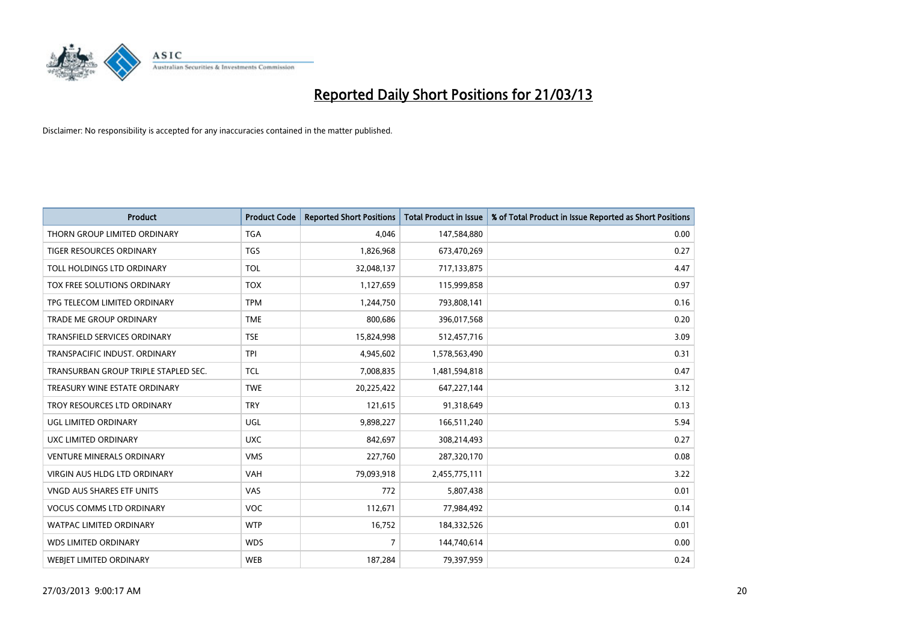

| <b>Product</b>                       | <b>Product Code</b> | <b>Reported Short Positions</b> | <b>Total Product in Issue</b> | % of Total Product in Issue Reported as Short Positions |
|--------------------------------------|---------------------|---------------------------------|-------------------------------|---------------------------------------------------------|
| THORN GROUP LIMITED ORDINARY         | <b>TGA</b>          | 4,046                           | 147,584,880                   | 0.00                                                    |
| TIGER RESOURCES ORDINARY             | <b>TGS</b>          | 1,826,968                       | 673,470,269                   | 0.27                                                    |
| TOLL HOLDINGS LTD ORDINARY           | <b>TOL</b>          | 32,048,137                      | 717,133,875                   | 4.47                                                    |
| TOX FREE SOLUTIONS ORDINARY          | <b>TOX</b>          | 1,127,659                       | 115,999,858                   | 0.97                                                    |
| TPG TELECOM LIMITED ORDINARY         | <b>TPM</b>          | 1,244,750                       | 793,808,141                   | 0.16                                                    |
| <b>TRADE ME GROUP ORDINARY</b>       | <b>TME</b>          | 800,686                         | 396,017,568                   | 0.20                                                    |
| <b>TRANSFIELD SERVICES ORDINARY</b>  | <b>TSE</b>          | 15,824,998                      | 512,457,716                   | 3.09                                                    |
| TRANSPACIFIC INDUST, ORDINARY        | <b>TPI</b>          | 4,945,602                       | 1,578,563,490                 | 0.31                                                    |
| TRANSURBAN GROUP TRIPLE STAPLED SEC. | <b>TCL</b>          | 7,008,835                       | 1,481,594,818                 | 0.47                                                    |
| TREASURY WINE ESTATE ORDINARY        | <b>TWE</b>          | 20,225,422                      | 647,227,144                   | 3.12                                                    |
| TROY RESOURCES LTD ORDINARY          | <b>TRY</b>          | 121,615                         | 91,318,649                    | 0.13                                                    |
| UGL LIMITED ORDINARY                 | UGL                 | 9,898,227                       | 166,511,240                   | 5.94                                                    |
| UXC LIMITED ORDINARY                 | <b>UXC</b>          | 842,697                         | 308,214,493                   | 0.27                                                    |
| <b>VENTURE MINERALS ORDINARY</b>     | <b>VMS</b>          | 227,760                         | 287,320,170                   | 0.08                                                    |
| <b>VIRGIN AUS HLDG LTD ORDINARY</b>  | VAH                 | 79,093,918                      | 2,455,775,111                 | 3.22                                                    |
| <b>VNGD AUS SHARES ETF UNITS</b>     | <b>VAS</b>          | 772                             | 5,807,438                     | 0.01                                                    |
| <b>VOCUS COMMS LTD ORDINARY</b>      | VOC                 | 112,671                         | 77,984,492                    | 0.14                                                    |
| WATPAC LIMITED ORDINARY              | <b>WTP</b>          | 16,752                          | 184,332,526                   | 0.01                                                    |
| <b>WDS LIMITED ORDINARY</b>          | <b>WDS</b>          | $\overline{7}$                  | 144,740,614                   | 0.00                                                    |
| <b>WEBJET LIMITED ORDINARY</b>       | <b>WEB</b>          | 187,284                         | 79,397,959                    | 0.24                                                    |